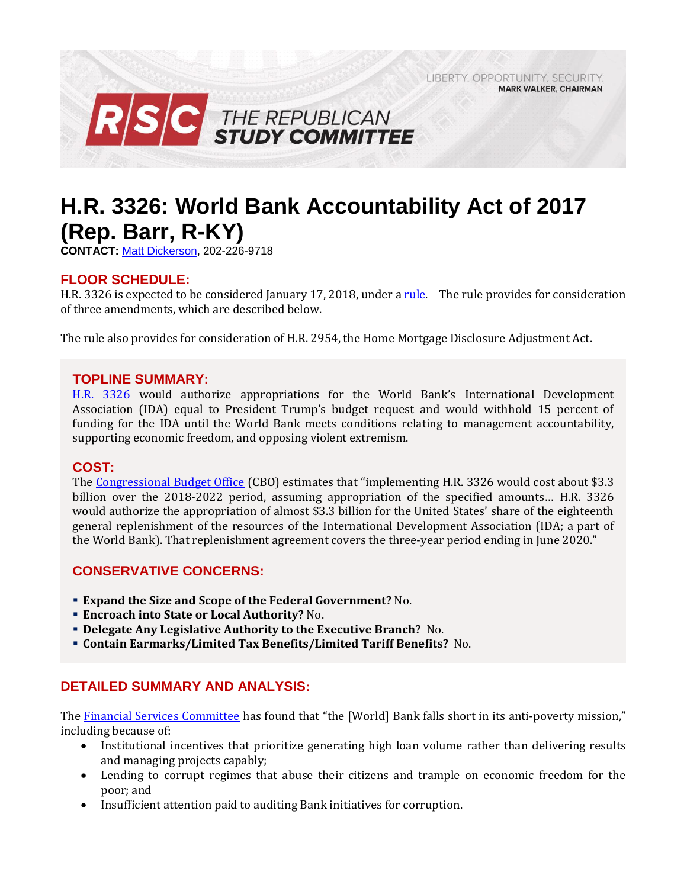LIBERTY, OPPORTUNITY, SECURITY, **MARK WALKER, CHAIRMAN** 



# **H.R. 3326: World Bank Accountability Act of 2017 (Rep. Barr, R-KY)**

**CONTACT:** [Matt Dickerson,](mailto:Matthew.Dickerson@mail.house.gov) 202-226-9718

# **FLOOR SCHEDULE:**

H.R. 3326 is expected to be considered January 17, 2018, under [a rule.](https://rules.house.gov/bill/115/hr-3326) The rule provides for consideration of three amendments, which are described below.

The rule also provides for consideration of H.R. 2954, the Home Mortgage Disclosure Adjustment Act.

### **TOPLINE SUMMARY:**

[H.R. 3326](https://www.gpo.gov/fdsys/pkg/BILLS-115hr3326rh/pdf/BILLS-115hr3326rh.pdf) would authorize appropriations for the World Bank's International Development Association (IDA) equal to President Trump's budget request and would withhold 15 percent of funding for the IDA until the World Bank meets conditions relating to management accountability, supporting economic freedom, and opposing violent extremism.

### **COST:**

The [Congressional Budget Office](https://www.cbo.gov/system/files/115th-congress-2017-2018/costestimate/hr3326.pdf) (CBO) estimates that "implementing H.R. 3326 would cost about \$3.3 billion over the 2018-2022 period, assuming appropriation of the specified amounts… H.R. 3326 would authorize the appropriation of almost \$3.3 billion for the United States' share of the eighteenth general replenishment of the resources of the International Development Association (IDA; a part of the World Bank). That replenishment agreement covers the three-year period ending in June 2020."

# **CONSERVATIVE CONCERNS:**

- **Expand the Size and Scope of the Federal Government?** No.
- **Encroach into State or Local Authority?** No.
- **Delegate Any Legislative Authority to the Executive Branch?** No.
- **Contain Earmarks/Limited Tax Benefits/Limited Tariff Benefits?** No.

# **DETAILED SUMMARY AND ANALYSIS:**

The [Financial Services Committee](https://www.gpo.gov/fdsys/pkg/CRPT-115hrpt298/pdf/CRPT-115hrpt298.pdf) has found that "the [World] Bank falls short in its anti-poverty mission," including because of:

- Institutional incentives that prioritize generating high loan volume rather than delivering results and managing projects capably;
- Lending to corrupt regimes that abuse their citizens and trample on economic freedom for the poor; and
- Insufficient attention paid to auditing Bank initiatives for corruption.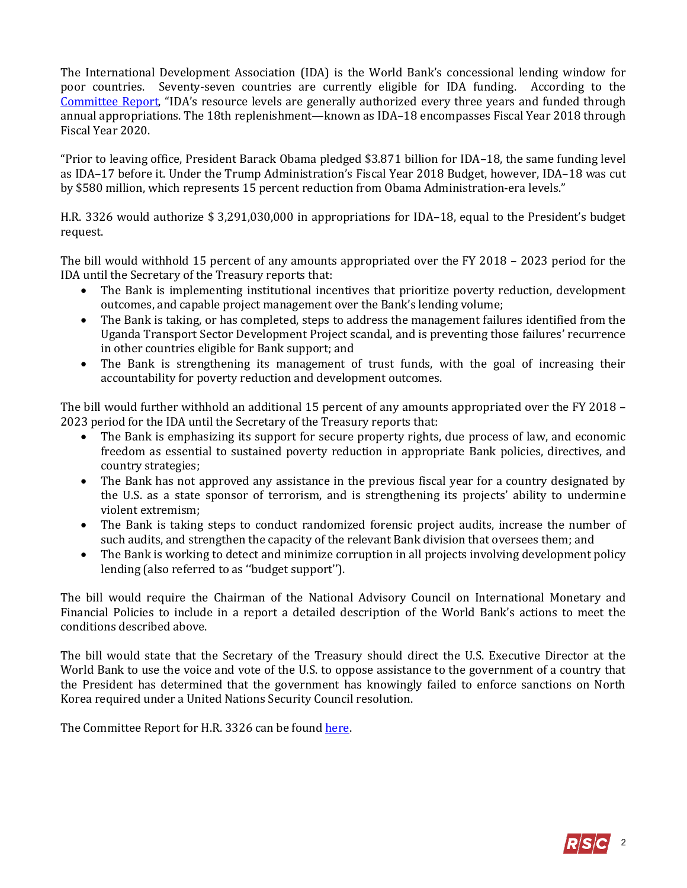The International Development Association (IDA) is the World Bank's concessional lending window for poor countries. Seventy-seven countries are currently eligible for IDA funding. According to the [Committee Report,](https://www.gpo.gov/fdsys/pkg/CRPT-115hrpt298/pdf/CRPT-115hrpt298.pdf) "IDA's resource levels are generally authorized every three years and funded through annual appropriations. The 18th replenishment—known as IDA–18 encompasses Fiscal Year 2018 through Fiscal Year 2020.

"Prior to leaving office, President Barack Obama pledged \$3.871 billion for IDA–18, the same funding level as IDA–17 before it. Under the Trump Administration's Fiscal Year 2018 Budget, however, IDA–18 was cut by \$580 million, which represents 15 percent reduction from Obama Administration-era levels."

H.R. 3326 would authorize \$ 3,291,030,000 in appropriations for IDA–18, equal to the President's budget request.

The bill would withhold 15 percent of any amounts appropriated over the FY 2018 – 2023 period for the IDA until the Secretary of the Treasury reports that:

- The Bank is implementing institutional incentives that prioritize poverty reduction, development outcomes, and capable project management over the Bank's lending volume;
- The Bank is taking, or has completed, steps to address the management failures identified from the Uganda Transport Sector Development Project scandal, and is preventing those failures' recurrence in other countries eligible for Bank support; and
- The Bank is strengthening its management of trust funds, with the goal of increasing their accountability for poverty reduction and development outcomes.

The bill would further withhold an additional 15 percent of any amounts appropriated over the FY 2018 – 2023 period for the IDA until the Secretary of the Treasury reports that:

- The Bank is emphasizing its support for secure property rights, due process of law, and economic freedom as essential to sustained poverty reduction in appropriate Bank policies, directives, and country strategies;
- The Bank has not approved any assistance in the previous fiscal year for a country designated by the U.S. as a state sponsor of terrorism, and is strengthening its projects' ability to undermine violent extremism;
- The Bank is taking steps to conduct randomized forensic project audits, increase the number of such audits, and strengthen the capacity of the relevant Bank division that oversees them; and
- The Bank is working to detect and minimize corruption in all projects involving development policy lending (also referred to as ''budget support'').

The bill would require the Chairman of the National Advisory Council on International Monetary and Financial Policies to include in a report a detailed description of the World Bank's actions to meet the conditions described above.

The bill would state that the Secretary of the Treasury should direct the U.S. Executive Director at the World Bank to use the voice and vote of the U.S. to oppose assistance to the government of a country that the President has determined that the government has knowingly failed to enforce sanctions on North Korea required under a United Nations Security Council resolution.

The Committee Report for H.R. 3326 can be found here.